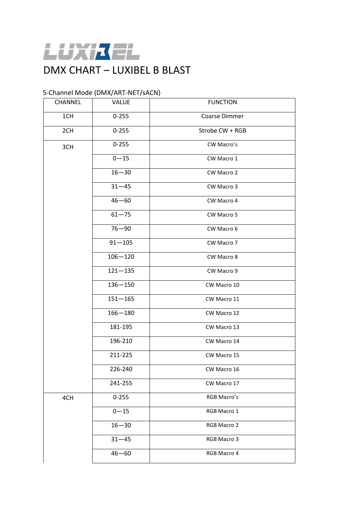

### 5-Channel Mode (DMX/ART-NET/sACN)

|            | CHANNEL | <b>VALUE</b> | <b>FUNCTION</b> |  |
|------------|---------|--------------|-----------------|--|
| 1CH<br>2CH |         | $0 - 255$    | Coarse Dimmer   |  |
|            |         | $0 - 255$    | Strobe CW + RGB |  |
|            | 3CH     | $0 - 255$    | CW Macro's      |  |
|            |         | $0 - 15$     | CW Macro 1      |  |
|            |         | $16 - 30$    | CW Macro 2      |  |
|            |         | $31 - 45$    | CW Macro 3      |  |
|            |         | $46 - 60$    | CW Macro 4      |  |
|            |         | $61 - 75$    | CW Macro 5      |  |
|            |         | $76 - 90$    | CW Macro 6      |  |
|            |         | $91 - 105$   | CW Macro 7      |  |
|            |         | $106 - 120$  | CW Macro 8      |  |
|            |         | $121 - 135$  | CW Macro 9      |  |
|            |         | $136 - 150$  | CW Macro 10     |  |
|            |         | $151 - 165$  | CW Macro 11     |  |
|            |         | $166 - 180$  | CW Macro 12     |  |
|            |         | 181-195      | CW Macro 13     |  |
|            |         | 196-210      | CW Macro 14     |  |
|            |         | 211-225      | CW Macro 15     |  |
|            |         | 226-240      | CW Macro 16     |  |
|            |         | 241-255      | CW Macro 17     |  |
|            | 4CH     | $0 - 255$    | RGB Macro's     |  |
|            |         | $0 - 15$     | RGB Macro 1     |  |
|            |         | $16 - 30$    | RGB Macro 2     |  |
|            |         | $31 - 45$    | RGB Macro 3     |  |
|            |         | $46 - 60$    | RGB Macro 4     |  |
|            |         |              |                 |  |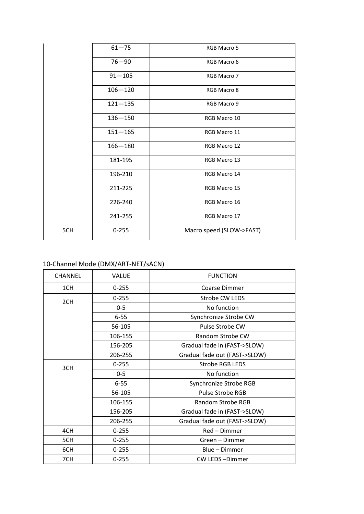| $61 - 75$<br>RGB Macro 5<br>$76 - 90$<br>RGB Macro 6<br>$91 - 105$<br>RGB Macro 7<br>$106 - 120$<br>RGB Macro 8<br>$121 - 135$<br>RGB Macro 9<br>$136 - 150$<br>RGB Macro 10<br>$151 - 165$<br>RGB Macro 11<br>$166 - 180$<br>RGB Macro 12<br>181-195<br>RGB Macro 13<br>196-210<br>RGB Macro 14<br>211-225<br>RGB Macro 15<br>226-240<br>RGB Macro 16<br>241-255<br>RGB Macro 17<br>5CH<br>$0 - 255$<br>Macro speed (SLOW->FAST) |  |  |
|-----------------------------------------------------------------------------------------------------------------------------------------------------------------------------------------------------------------------------------------------------------------------------------------------------------------------------------------------------------------------------------------------------------------------------------|--|--|
|                                                                                                                                                                                                                                                                                                                                                                                                                                   |  |  |
|                                                                                                                                                                                                                                                                                                                                                                                                                                   |  |  |
|                                                                                                                                                                                                                                                                                                                                                                                                                                   |  |  |
|                                                                                                                                                                                                                                                                                                                                                                                                                                   |  |  |
|                                                                                                                                                                                                                                                                                                                                                                                                                                   |  |  |
|                                                                                                                                                                                                                                                                                                                                                                                                                                   |  |  |
|                                                                                                                                                                                                                                                                                                                                                                                                                                   |  |  |
|                                                                                                                                                                                                                                                                                                                                                                                                                                   |  |  |
|                                                                                                                                                                                                                                                                                                                                                                                                                                   |  |  |
|                                                                                                                                                                                                                                                                                                                                                                                                                                   |  |  |
|                                                                                                                                                                                                                                                                                                                                                                                                                                   |  |  |
|                                                                                                                                                                                                                                                                                                                                                                                                                                   |  |  |
|                                                                                                                                                                                                                                                                                                                                                                                                                                   |  |  |
|                                                                                                                                                                                                                                                                                                                                                                                                                                   |  |  |

# 10-Channel Mode (DMX/ART-NET/sACN)

| <b>CHANNEL</b> | <b>VALUE</b> | <b>FUNCTION</b>               |
|----------------|--------------|-------------------------------|
| 1CH            | $0 - 255$    | Coarse Dimmer                 |
| 2CH            | $0 - 255$    | Strobe CW LEDS                |
|                | $0 - 5$      | No function                   |
|                | $6 - 55$     | Synchronize Strobe CW         |
|                | 56-105       | Pulse Strobe CW               |
|                | 106-155      | Random Strobe CW              |
|                | 156-205      | Gradual fade in (FAST->SLOW)  |
|                | 206-255      | Gradual fade out (FAST->SLOW) |
| 3CH            | $0 - 255$    | <b>Strobe RGB LEDS</b>        |
|                | $0-5$        | No function                   |
|                | $6 - 55$     | Synchronize Strobe RGB        |
|                | 56-105       | <b>Pulse Strobe RGB</b>       |
|                | 106-155      | Random Strobe RGB             |
|                | 156-205      | Gradual fade in (FAST->SLOW)  |
|                | 206-255      | Gradual fade out (FAST->SLOW) |
| 4CH            | $0 - 255$    | Red - Dimmer                  |
| 5CH            | $0 - 255$    | Green - Dimmer                |
| 6CH            | $0 - 255$    | Blue - Dimmer                 |
| 7CH            | $0 - 255$    | <b>CW LEDS-Dimmer</b>         |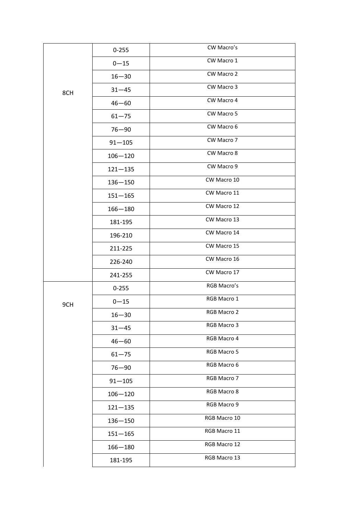|     | $0 - 255$   | CW Macro's   |
|-----|-------------|--------------|
|     | $0 - 15$    | CW Macro 1   |
|     | $16 - 30$   | CW Macro 2   |
| 8CH | $31 - 45$   | CW Macro 3   |
|     | $46 - 60$   | CW Macro 4   |
|     | $61 - 75$   | CW Macro 5   |
|     | $76 - 90$   | CW Macro 6   |
|     | $91 - 105$  | CW Macro 7   |
|     | $106 - 120$ | CW Macro 8   |
|     | $121 - 135$ | CW Macro 9   |
|     | $136 - 150$ | CW Macro 10  |
|     | $151 - 165$ | CW Macro 11  |
|     | $166 - 180$ | CW Macro 12  |
|     | 181-195     | CW Macro 13  |
|     | 196-210     | CW Macro 14  |
|     | 211-225     | CW Macro 15  |
|     | 226-240     | CW Macro 16  |
|     | 241-255     | CW Macro 17  |
|     | $0 - 255$   | RGB Macro's  |
| 9CH | $0 - 15$    | RGB Macro 1  |
|     | $16 - 30$   | RGB Macro 2  |
|     | $31 - 45$   | RGB Macro 3  |
|     | $46 - 60$   | RGB Macro 4  |
|     | $61 - 75$   | RGB Macro 5  |
|     | $76 - 90$   | RGB Macro 6  |
|     | $91 - 105$  | RGB Macro 7  |
|     | $106 - 120$ | RGB Macro 8  |
|     | $121 - 135$ | RGB Macro 9  |
|     | $136 - 150$ | RGB Macro 10 |
|     | $151 - 165$ | RGB Macro 11 |
|     | $166 - 180$ | RGB Macro 12 |
|     | 181-195     | RGB Macro 13 |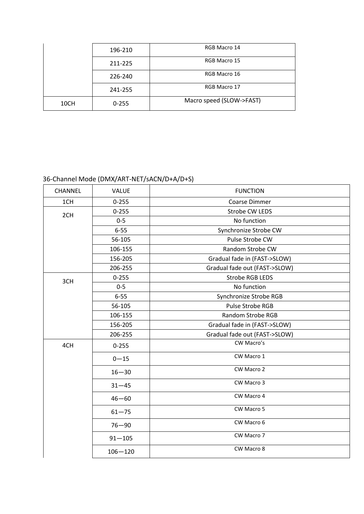|      | 196-210   | RGB Macro 14             |
|------|-----------|--------------------------|
|      | 211-225   | RGB Macro 15             |
|      | 226-240   | RGB Macro 16             |
|      | 241-255   | RGB Macro 17             |
| 10CH | $0 - 255$ | Macro speed (SLOW->FAST) |

# 36-Channel Mode (DMX/ART-NET/sACN/D+A/D+S)

| CHANNEL | <b>VALUE</b> | <b>FUNCTION</b>               |
|---------|--------------|-------------------------------|
| 1CH     | $0 - 255$    | <b>Coarse Dimmer</b>          |
| 2CH     | $0 - 255$    | Strobe CW LEDS                |
|         | $0 - 5$      | No function                   |
|         | $6 - 55$     | Synchronize Strobe CW         |
|         | 56-105       | Pulse Strobe CW               |
|         | 106-155      | Random Strobe CW              |
|         | 156-205      | Gradual fade in (FAST->SLOW)  |
|         | 206-255      | Gradual fade out (FAST->SLOW) |
| 3CH     | $0 - 255$    | <b>Strobe RGB LEDS</b>        |
|         | $0-5$        | No function                   |
|         | $6 - 55$     | Synchronize Strobe RGB        |
|         | 56-105       | Pulse Strobe RGB              |
|         | 106-155      | Random Strobe RGB             |
|         | 156-205      | Gradual fade in (FAST->SLOW)  |
|         | 206-255      | Gradual fade out (FAST->SLOW) |
| 4CH     | $0 - 255$    | CW Macro's                    |
|         | $0 - 15$     | CW Macro 1                    |
|         | $16 - 30$    | CW Macro 2                    |
|         | $31 - 45$    | CW Macro 3                    |
|         | $46 - 60$    | CW Macro 4                    |
|         | $61 - 75$    | CW Macro 5                    |
|         | $76 - 90$    | CW Macro 6                    |
|         | $91 - 105$   | CW Macro 7                    |
|         | $106 - 120$  | CW Macro 8                    |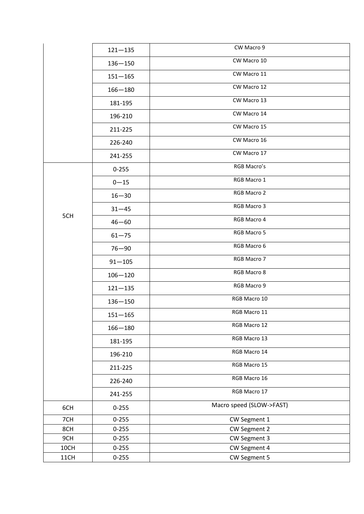|      | $121 - 135$ | CW Macro 9               |
|------|-------------|--------------------------|
|      | $136 - 150$ | CW Macro 10              |
|      | $151 - 165$ | CW Macro 11              |
|      | $166 - 180$ | CW Macro 12              |
|      | 181-195     | CW Macro 13              |
|      | 196-210     | CW Macro 14              |
|      | 211-225     | CW Macro 15              |
|      | 226-240     | CW Macro 16              |
|      | 241-255     | CW Macro 17              |
|      | $0 - 255$   | RGB Macro's              |
|      | $0 - 15$    | RGB Macro 1              |
|      | $16 - 30$   | RGB Macro 2              |
|      | $31 - 45$   | RGB Macro 3              |
| 5CH  | $46 - 60$   | RGB Macro 4              |
|      | $61 - 75$   | RGB Macro 5              |
|      | $76 - 90$   | RGB Macro 6              |
|      | $91 - 105$  | RGB Macro 7              |
|      | $106 - 120$ | RGB Macro 8              |
|      | $121 - 135$ | RGB Macro 9              |
|      | $136 - 150$ | RGB Macro 10             |
|      | $151 - 165$ | RGB Macro 11             |
|      | $166 - 180$ | RGB Macro 12             |
|      | 181-195     | RGB Macro 13             |
|      | 196-210     | RGB Macro 14             |
|      | 211-225     | RGB Macro 15             |
|      | 226-240     | RGB Macro 16             |
|      | 241-255     | RGB Macro 17             |
| 6CH  | $0 - 255$   | Macro speed (SLOW->FAST) |
| 7CH  | $0 - 255$   | CW Segment 1             |
| 8CH  | $0 - 255$   | CW Segment 2             |
| 9CH  | $0 - 255$   | CW Segment 3             |
| 10CH | $0 - 255$   | CW Segment 4             |
| 11CH | $0 - 255$   | CW Segment 5             |
|      |             |                          |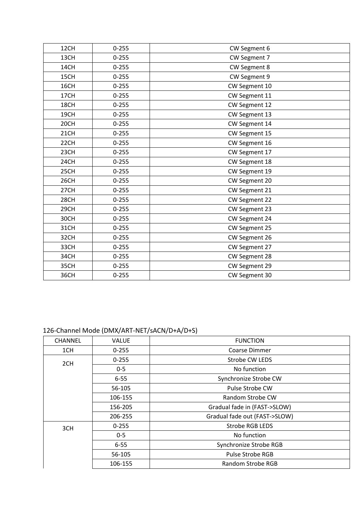| 12CH | $0 - 255$ | CW Segment 6  |
|------|-----------|---------------|
| 13CH | $0 - 255$ | CW Segment 7  |
| 14CH | $0 - 255$ | CW Segment 8  |
| 15CH | $0 - 255$ | CW Segment 9  |
| 16CH | $0 - 255$ | CW Segment 10 |
| 17CH | $0 - 255$ | CW Segment 11 |
| 18CH | $0 - 255$ | CW Segment 12 |
| 19CH | $0 - 255$ | CW Segment 13 |
| 20CH | $0 - 255$ | CW Segment 14 |
| 21CH | $0 - 255$ | CW Segment 15 |
| 22CH | $0 - 255$ | CW Segment 16 |
| 23CH | $0 - 255$ | CW Segment 17 |
| 24CH | $0 - 255$ | CW Segment 18 |
| 25CH | $0 - 255$ | CW Segment 19 |
| 26CH | $0 - 255$ | CW Segment 20 |
| 27CH | $0 - 255$ | CW Segment 21 |
| 28CH | $0 - 255$ | CW Segment 22 |
| 29CH | $0 - 255$ | CW Segment 23 |
| 30CH | $0 - 255$ | CW Segment 24 |
| 31CH | $0 - 255$ | CW Segment 25 |
| 32CH | $0 - 255$ | CW Segment 26 |
| 33CH | $0 - 255$ | CW Segment 27 |
| 34CH | $0 - 255$ | CW Segment 28 |
| 35CH | $0 - 255$ | CW Segment 29 |
| 36CH | $0 - 255$ | CW Segment 30 |

### 126-Channel Mode (DMX/ART-NET/sACN/D+A/D+S)

| <b>CHANNEL</b> | <b>VALUE</b> | <b>FUNCTION</b>               |
|----------------|--------------|-------------------------------|
| 1CH            | $0 - 255$    | Coarse Dimmer                 |
| 2CH            | $0 - 255$    | Strobe CW LEDS                |
|                | $0 - 5$      | No function                   |
|                | $6 - 55$     | Synchronize Strobe CW         |
|                | 56-105       | Pulse Strobe CW               |
|                | 106-155      | Random Strobe CW              |
|                | 156-205      | Gradual fade in (FAST->SLOW)  |
|                | 206-255      | Gradual fade out (FAST->SLOW) |
| 3CH            | $0 - 255$    | <b>Strobe RGB LEDS</b>        |
|                | $0 - 5$      | No function                   |
|                | $6 - 55$     | Synchronize Strobe RGB        |
|                | 56-105       | Pulse Strobe RGB              |
|                | 106-155      | Random Strobe RGB             |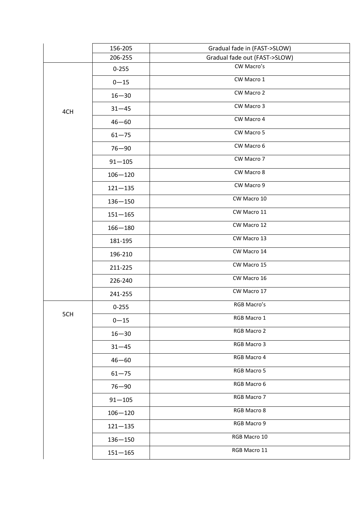|     | 156-205     | Gradual fade in (FAST->SLOW)  |
|-----|-------------|-------------------------------|
|     | 206-255     | Gradual fade out (FAST->SLOW) |
|     | $0 - 255$   | CW Macro's                    |
|     | $0 - 15$    | CW Macro 1                    |
|     | $16 - 30$   | CW Macro 2                    |
| 4CH | $31 - 45$   | CW Macro 3                    |
|     | $46 - 60$   | CW Macro 4                    |
|     | $61 - 75$   | CW Macro 5                    |
|     | $76 - 90$   | CW Macro 6                    |
|     | $91 - 105$  | CW Macro 7                    |
|     | $106 - 120$ | CW Macro 8                    |
|     | $121 - 135$ | CW Macro 9                    |
|     | $136 - 150$ | CW Macro 10                   |
|     | $151 - 165$ | CW Macro 11                   |
|     | $166 - 180$ | CW Macro 12                   |
|     | 181-195     | CW Macro 13                   |
|     | 196-210     | CW Macro 14                   |
|     | 211-225     | CW Macro 15                   |
|     | 226-240     | CW Macro 16                   |
|     | 241-255     | CW Macro 17                   |
|     | $0 - 255$   | RGB Macro's                   |
| 5CH | $0 - 15$    | RGB Macro 1                   |
|     | $16 - 30$   | RGB Macro 2                   |
|     | $31 - 45$   | RGB Macro 3                   |
|     | $46 - 60$   | RGB Macro 4                   |
|     | $61 - 75$   | RGB Macro 5                   |
|     | $76 - 90$   | RGB Macro 6                   |
|     | $91 - 105$  | RGB Macro 7                   |
|     | $106 - 120$ | RGB Macro 8                   |
|     | $121 - 135$ | RGB Macro 9                   |
|     | $136 - 150$ | RGB Macro 10                  |
|     | $151 - 165$ | RGB Macro 11                  |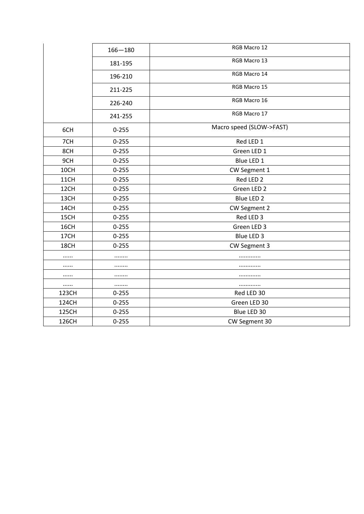|       | $166 - 180$ | RGB Macro 12             |
|-------|-------------|--------------------------|
|       | 181-195     | RGB Macro 13             |
|       | 196-210     | RGB Macro 14             |
|       | 211-225     | RGB Macro 15             |
|       | 226-240     | RGB Macro 16             |
|       | 241-255     | RGB Macro 17             |
| 6CH   | $0 - 255$   | Macro speed (SLOW->FAST) |
| 7CH   | $0 - 255$   | Red LED 1                |
| 8CH   | $0 - 255$   | Green LED 1              |
| 9CH   | $0 - 255$   | Blue LED 1               |
| 10CH  | $0 - 255$   | CW Segment 1             |
| 11CH  | $0 - 255$   | Red LED 2                |
| 12CH  | $0 - 255$   | Green LED 2              |
| 13CH  | $0 - 255$   | Blue LED 2               |
| 14CH  | $0 - 255$   | CW Segment 2             |
| 15CH  | $0 - 255$   | Red LED 3                |
| 16CH  | $0 - 255$   | Green LED 3              |
| 17CH  | $0 - 255$   | Blue LED 3               |
| 18CH  | $0 - 255$   | CW Segment 3             |
|       | .           |                          |
|       | .           | .                        |
|       | .           | .                        |
|       |             | .                        |
| 123CH | $0 - 255$   | Red LED 30               |
| 124CH | $0 - 255$   | Green LED 30             |
| 125CH | $0 - 255$   | Blue LED 30              |
| 126CH | $0 - 255$   | CW Segment 30            |